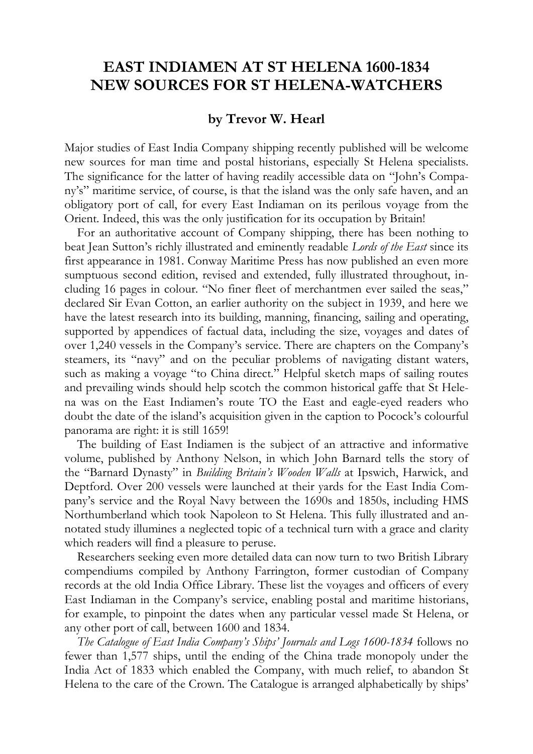## **EAST INDIAMEN AT ST HELENA 1600-1834 NEW SOURCES FOR ST HELENA-WATCHERS**

## **by Trevor W. Hearl**

Major studies of East India Company shipping recently published will be welcome new sources for man time and postal historians, especially St Helena specialists. The significance for the latter of having readily accessible data on "John's Company's" maritime service, of course, is that the island was the only safe haven, and an obligatory port of call, for every East Indiaman on its perilous voyage from the Orient. Indeed, this was the only justification for its occupation by Britain!

For an authoritative account of Company shipping, there has been nothing to beat Jean Sutton's richly illustrated and eminently readable *Lords of the East* since its first appearance in 1981. Conway Maritime Press has now published an even more sumptuous second edition, revised and extended, fully illustrated throughout, including 16 pages in colour. "No finer fleet of merchantmen ever sailed the seas," declared Sir Evan Cotton, an earlier authority on the subject in 1939, and here we have the latest research into its building, manning, financing, sailing and operating, supported by appendices of factual data, including the size, voyages and dates of over 1,240 vessels in the Company's service. There are chapters on the Company's steamers, its "navy" and on the peculiar problems of navigating distant waters, such as making a voyage "to China direct." Helpful sketch maps of sailing routes and prevailing winds should help scotch the common historical gaffe that St Helena was on the East Indiamen's route TO the East and eagle-eyed readers who doubt the date of the island's acquisition given in the caption to Pocock's colourful panorama are right: it is still 1659!

The building of East Indiamen is the subject of an attractive and informative volume, published by Anthony Nelson, in which John Barnard tells the story of the "Barnard Dynasty" in *Building Britain's Wooden Walls* at Ipswich, Harwick, and Deptford. Over 200 vessels were launched at their yards for the East India Company's service and the Royal Navy between the 1690s and 1850s, including HMS Northumberland which took Napoleon to St Helena. This fully illustrated and annotated study illumines a neglected topic of a technical turn with a grace and clarity which readers will find a pleasure to peruse.

Researchers seeking even more detailed data can now turn to two British Library compendiums compiled by Anthony Farrington, former custodian of Company records at the old India Office Library. These list the voyages and officers of every East Indiaman in the Company's service, enabling postal and maritime historians, for example, to pinpoint the dates when any particular vessel made St Helena, or any other port of call, between 1600 and 1834.

*The Catalogue of East India Company's Ships' Journals and Logs 1600-1834* follows no fewer than 1,577 ships, until the ending of the China trade monopoly under the India Act of 1833 which enabled the Company, with much relief, to abandon St Helena to the care of the Crown. The Catalogue is arranged alphabetically by ships'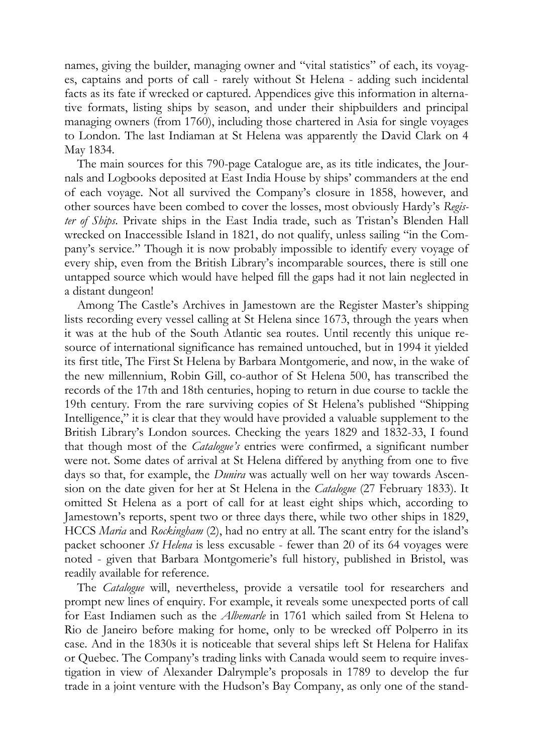names, giving the builder, managing owner and "vital statistics" of each, its voyages, captains and ports of call - rarely without St Helena - adding such incidental facts as its fate if wrecked or captured. Appendices give this information in alternative formats, listing ships by season, and under their shipbuilders and principal managing owners (from 1760), including those chartered in Asia for single voyages to London. The last Indiaman at St Helena was apparently the David Clark on 4 May 1834.

The main sources for this 790-page Catalogue are, as its title indicates, the Journals and Logbooks deposited at East India House by ships' commanders at the end of each voyage. Not all survived the Company's closure in 1858, however, and other sources have been combed to cover the losses, most obviously Hardy's *Register of Ships*. Private ships in the East India trade, such as Tristan's Blenden Hall wrecked on Inaccessible Island in 1821, do not qualify, unless sailing "in the Company's service." Though it is now probably impossible to identify every voyage of every ship, even from the British Library's incomparable sources, there is still one untapped source which would have helped fill the gaps had it not lain neglected in a distant dungeon!

Among The Castle's Archives in Jamestown are the Register Master's shipping lists recording every vessel calling at St Helena since 1673, through the years when it was at the hub of the South Atlantic sea routes. Until recently this unique resource of international significance has remained untouched, but in 1994 it yielded its first title, The First St Helena by Barbara Montgomerie, and now, in the wake of the new millennium, Robin Gill, co-author of St Helena 500, has transcribed the records of the 17th and 18th centuries, hoping to return in due course to tackle the 19th century. From the rare surviving copies of St Helena's published "Shipping Intelligence," it is clear that they would have provided a valuable supplement to the British Library's London sources. Checking the years 1829 and 1832-33, I found that though most of the *Catalogue's* entries were confirmed, a significant number were not. Some dates of arrival at St Helena differed by anything from one to five days so that, for example, the *Dunira* was actually well on her way towards Ascension on the date given for her at St Helena in the *Catalogue* (27 February 1833). It omitted St Helena as a port of call for at least eight ships which, according to Jamestown's reports, spent two or three days there, while two other ships in 1829, HCCS *Maria* and *Rockingham* (2), had no entry at all. The scant entry for the island's packet schooner *St Helena* is less excusable - fewer than 20 of its 64 voyages were noted - given that Barbara Montgomerie's full history, published in Bristol, was readily available for reference.

The *Catalogue* will, nevertheless, provide a versatile tool for researchers and prompt new lines of enquiry. For example, it reveals some unexpected ports of call for East Indiamen such as the *Albemarle* in 1761 which sailed from St Helena to Rio de Janeiro before making for home, only to be wrecked off Polperro in its case. And in the 1830s it is noticeable that several ships left St Helena for Halifax or Quebec. The Company's trading links with Canada would seem to require investigation in view of Alexander Dalrymple's proposals in 1789 to develop the fur trade in a joint venture with the Hudson's Bay Company, as only one of the stand-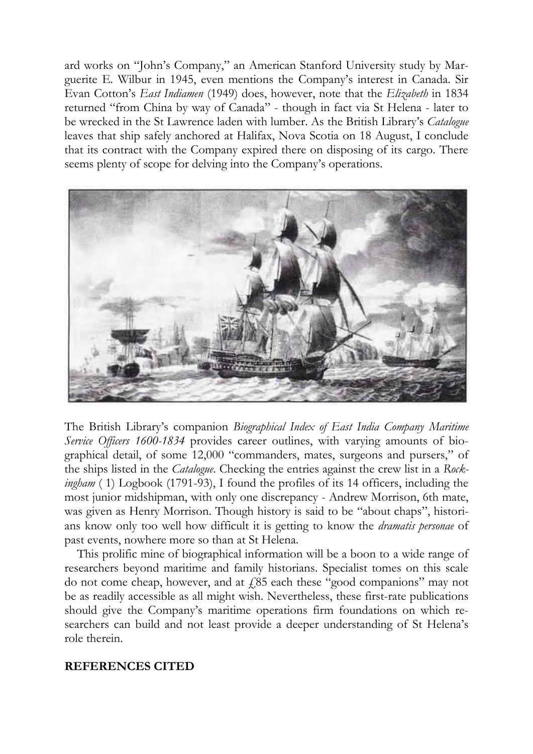ard works on "John's Company," an American Stanford University study by Marguerite E. Wilbur in 1945, even mentions the Company's interest in Canada. Sir Evan Cotton's *East Indiamen* (1949) does, however, note that the *Elizabeth* in 1834 returned "from China by way of Canada" - though in fact via St Helena - later to be wrecked in the St Lawrence laden with lumber. As the British Library's *Catalogue* leaves that ship safely anchored at Halifax, Nova Scotia on 18 August, I conclude that its contract with the Company expired there on disposing of its cargo. There seems plenty of scope for delving into the Company's operations.



The British Library's companion *Biographical Index of East India Company Maritime Service Officers 1600-1834* provides career outlines, with varying amounts of biographical detail, of some 12,000 "commanders, mates, surgeons and pursers," of the ships listed in the *Catalogue*. Checking the entries against the crew list in a *Rockingham* ( 1) Logbook (1791-93), I found the profiles of its 14 officers, including the most junior midshipman, with only one discrepancy - Andrew Morrison, 6th mate, was given as Henry Morrison. Though history is said to be "about chaps", historians know only too well how difficult it is getting to know the *dramatis personae* of past events, nowhere more so than at St Helena.

This prolific mine of biographical information will be a boon to a wide range of researchers beyond maritime and family historians. Specialist tomes on this scale do not come cheap, however, and at  $f_{0.85}$  each these "good companions" may not be as readily accessible as all might wish. Nevertheless, these first-rate publications should give the Company's maritime operations firm foundations on which researchers can build and not least provide a deeper understanding of St Helena's role therein.

## **REFERENCES CITED**